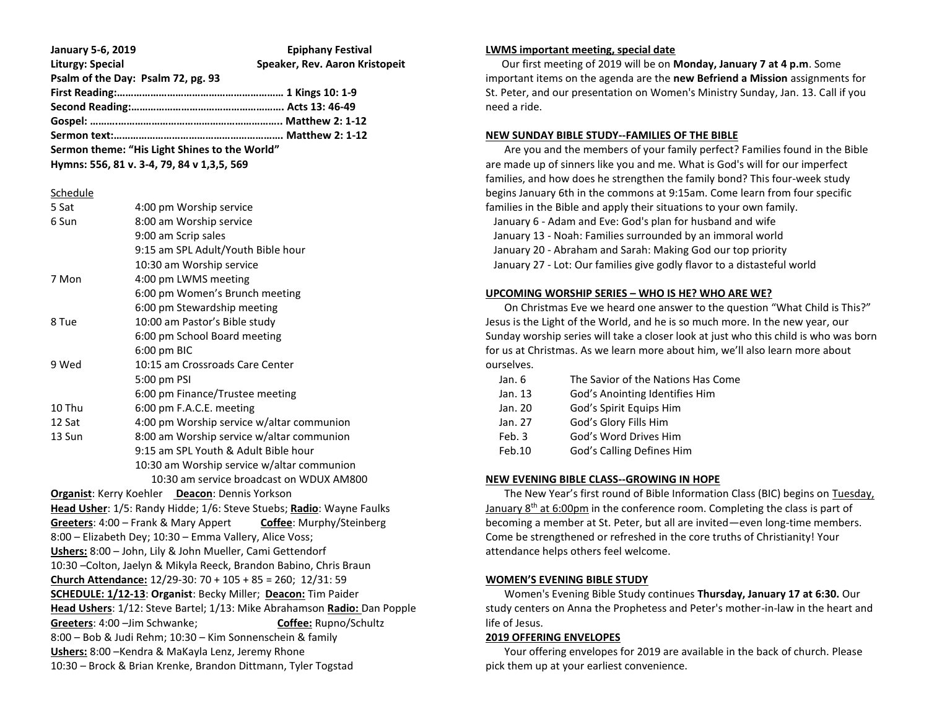| <b>January 5-6, 2019</b>                      | <b>Epiphany Festival</b>       |
|-----------------------------------------------|--------------------------------|
| <b>Liturgy: Special</b>                       | Speaker, Rev. Aaron Kristopeit |
| Psalm of the Day: Psalm 72, pg. 93            |                                |
|                                               |                                |
|                                               |                                |
|                                               |                                |
|                                               |                                |
| Sermon theme: "His Light Shines to the World" |                                |

**Hymns: 556, 81 v. 3-4, 79, 84 v 1,3,5, 569**

## **Schedule**

|                                                                    | 5 Sat                                                                | 4:00 pm Worship service                                                  |  |  |  |  |
|--------------------------------------------------------------------|----------------------------------------------------------------------|--------------------------------------------------------------------------|--|--|--|--|
|                                                                    | 6 Sun                                                                | 8:00 am Worship service                                                  |  |  |  |  |
|                                                                    |                                                                      | 9:00 am Scrip sales                                                      |  |  |  |  |
|                                                                    |                                                                      | 9:15 am SPL Adult/Youth Bible hour                                       |  |  |  |  |
|                                                                    |                                                                      | 10:30 am Worship service                                                 |  |  |  |  |
|                                                                    | 7 Mon                                                                | 4:00 pm LWMS meeting                                                     |  |  |  |  |
|                                                                    |                                                                      | 6:00 pm Women's Brunch meeting                                           |  |  |  |  |
|                                                                    |                                                                      | 6:00 pm Stewardship meeting                                              |  |  |  |  |
|                                                                    | 8 Tue                                                                | 10:00 am Pastor's Bible study                                            |  |  |  |  |
|                                                                    | 6:00 pm School Board meeting                                         |                                                                          |  |  |  |  |
|                                                                    |                                                                      | 6:00 pm BIC                                                              |  |  |  |  |
|                                                                    | 9 Wed                                                                | 10:15 am Crossroads Care Center                                          |  |  |  |  |
|                                                                    | 5:00 pm PSI                                                          |                                                                          |  |  |  |  |
|                                                                    | 6:00 pm Finance/Trustee meeting                                      |                                                                          |  |  |  |  |
|                                                                    | 10 Thu                                                               | 6:00 pm F.A.C.E. meeting                                                 |  |  |  |  |
|                                                                    | 12 Sat                                                               | 4:00 pm Worship service w/altar communion                                |  |  |  |  |
|                                                                    | 13 Sun                                                               | 8:00 am Worship service w/altar communion                                |  |  |  |  |
|                                                                    | 9:15 am SPL Youth & Adult Bible hour                                 |                                                                          |  |  |  |  |
|                                                                    | 10:30 am Worship service w/altar communion                           |                                                                          |  |  |  |  |
|                                                                    | 10:30 am service broadcast on WDUX AM800                             |                                                                          |  |  |  |  |
|                                                                    |                                                                      | Organist: Kerry Koehler Deacon: Dennis Yorkson                           |  |  |  |  |
|                                                                    | Head Usher: 1/5: Randy Hidde; 1/6: Steve Stuebs; Radio: Wayne Faulks |                                                                          |  |  |  |  |
|                                                                    |                                                                      | Greeters: 4:00 - Frank & Mary Appert<br><b>Coffee: Murphy/Steinberg</b>  |  |  |  |  |
|                                                                    |                                                                      | 8:00 - Elizabeth Dey; 10:30 - Emma Vallery, Alice Voss;                  |  |  |  |  |
| Ushers: 8:00 - John, Lily & John Mueller, Cami Gettendorf          |                                                                      |                                                                          |  |  |  |  |
| 10:30 - Colton, Jaelyn & Mikyla Reeck, Brandon Babino, Chris Braun |                                                                      |                                                                          |  |  |  |  |
|                                                                    |                                                                      | Church Attendance: $12/29-30$ : $70 + 105 + 85 = 260$ ; $12/31$ : 59     |  |  |  |  |
|                                                                    |                                                                      | SCHEDULE: 1/12-13: Organist: Becky Miller; Deacon: Tim Paider            |  |  |  |  |
|                                                                    |                                                                      | Head Ushers: 1/12: Steve Bartel; 1/13: Mike Abrahamson Radio: Dan Popple |  |  |  |  |
|                                                                    | Greeters: 4:00 - Jim Schwanke;<br><b>Coffee:</b> Rupno/Schultz       |                                                                          |  |  |  |  |
|                                                                    | 8:00 - Bob & Judi Rehm; 10:30 - Kim Sonnenschein & family            |                                                                          |  |  |  |  |
|                                                                    | Ushers: 8:00 - Kendra & MaKayla Lenz, Jeremy Rhone                   |                                                                          |  |  |  |  |
|                                                                    | 10:30 - Brock & Brian Krenke, Brandon Dittmann, Tyler Togstad        |                                                                          |  |  |  |  |
|                                                                    |                                                                      |                                                                          |  |  |  |  |

### **LWMS important meeting, special date**

 Our first meeting of 2019 will be on **Monday, January 7 at 4 p.m**. Some important items on the agenda are the **new Befriend a Mission** assignments for St. Peter, and our presentation on Women's Ministry Sunday, Jan. 13. Call if you need a ride.

# **NEW SUNDAY BIBLE STUDY--FAMILIES OF THE BIBLE**

 Are you and the members of your family perfect? Families found in the Bible are made up of sinners like you and me. What is God's will for our imperfect families, and how does he strengthen the family bond? This four-week study begins January 6th in the commons at 9:15am. Come learn from four specific families in the Bible and apply their situations to your own family. January 6 - Adam and Eve: God's plan for husband and wife January 13 - Noah: Families surrounded by an immoral world January 20 - Abraham and Sarah: Making God our top priority January 27 - Lot: Our families give godly flavor to a distasteful world

## **UPCOMING WORSHIP SERIES – WHO IS HE? WHO ARE WE?**

 On Christmas Eve we heard one answer to the question "What Child is This?" Jesus is the Light of the World, and he is so much more. In the new year, our Sunday worship series will take a closer look at just who this child is who was born for us at Christmas. As we learn more about him, we'll also learn more about ourselves.

| Jan. 6  | The Savior of the Nations Has Come |
|---------|------------------------------------|
| Jan. 13 | God's Anointing Identifies Him     |
| Jan. 20 | God's Spirit Equips Him            |
| Jan. 27 | God's Glory Fills Him              |
| Feb. 3  | God's Word Drives Him              |
| Feb.10  | God's Calling Defines Him          |
|         |                                    |

# **NEW EVENING BIBLE CLASS--GROWING IN HOPE**

 The New Year's first round of Bible Information Class (BIC) begins on Tuesday, January 8<sup>th</sup> at 6:00pm in the conference room. Completing the class is part of becoming a member at St. Peter, but all are invited—even long-time members. Come be strengthened or refreshed in the core truths of Christianity! Your attendance helps others feel welcome.

# **WOMEN'S EVENING BIBLE STUDY**

 Women's Evening Bible Study continues **Thursday, January 17 at 6:30.** Our study centers on Anna the Prophetess and Peter's mother-in-law in the heart and life of Jesus.

# **2019 OFFERING ENVELOPES**

 Your offering envelopes for 2019 are available in the back of church. Please pick them up at your earliest convenience.